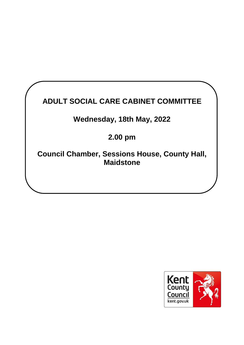# **ADULT SOCIAL CARE CABINET COMMITTEE**

**Wednesday, 18th May, 2022**

**2.00 pm**

**Council Chamber, Sessions House, County Hall, Maidstone**

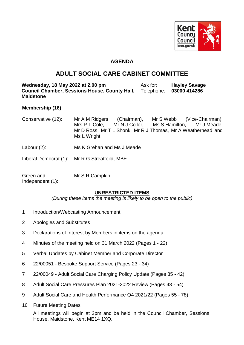

### **AGENDA**

# **ADULT SOCIAL CARE CABINET COMMITTEE**

**Wednesday, 18 May 2022 at 2.00 pm** Ask for: **Hayley Savage Council Chamber, Sessions House, County Hall, Maidstone** Telephone: **03000 414286**

#### **Membership (16)**

- Conservative (12): Mr A M Ridgers (Chairman), Mr S Webb (Vice-Chairman), Mrs P T Cole, Mr N J Collor, Ms S Hamilton, Mr J Meade, Mr D Ross, Mr T L Shonk, Mr R J Thomas, Mr A Weatherhead and Ms L Wright
- Labour (2): Ms K Grehan and Ms J Meade
- Liberal Democrat (1): Mr R G Streatfeild, MBE

Green and Independent (1): Mr S R Campkin

#### **UNRESTRICTED ITEMS**

*(During these items the meeting is likely to be open to the public)*

- 1 Introduction/Webcasting Announcement
- 2 Apologies and Substitutes
- 3 Declarations of Interest by Members in items on the agenda
- 4 Minutes of the meeting held on 31 March 2022 (Pages 1 22)
- 5 Verbal Updates by Cabinet Member and Corporate Director
- 6 22/00051 Bespoke Support Service (Pages 23 34)
- 7 22/00049 Adult Social Care Charging Policy Update (Pages 35 42)
- 8 Adult Social Care Pressures Plan 2021-2022 Review (Pages 43 54)
- 9 Adult Social Care and Health Performance Q4 2021/22 (Pages 55 78)
- 10 Future Meeting Dates

All meetings will begin at 2pm and be held in the Council Chamber, Sessions House, Maidstone, Kent ME14 1XQ.